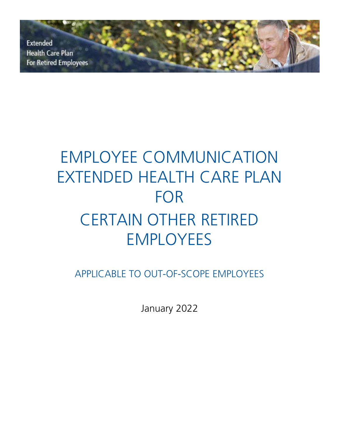**Extended Health Care Plan For Retired Employees** 

# EMPLOYEE COMMUNICATION EXTENDED HEALTH CARE PLAN FOR CERTAIN OTHER RETIRED EMPLOYEES

APPLICABLE TO OUT-OF-SCOPE EMPLOYEES

January 2022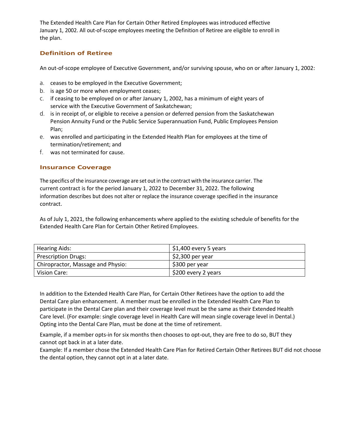The Extended Health Care Plan for Certain Other Retired Employees was introduced effective January 1, 2002. All out-of-scope employees meeting the Definition of Retiree are eligible to enroll in the plan.

## **Definition of Retiree**

An out-of-scope employee of Executive Government, and/or surviving spouse, who on or after January 1, 2002:

- a. ceases to be employed in the Executive Government;
- b. is age 50 or more when employment ceases;
- c. if ceasing to be employed on or after January 1, 2002, has a minimum of eight years of service with the Executive Government of Saskatchewan;
- d. is in receipt of, or eligible to receive a pension or deferred pension from the Saskatchewan Pension Annuity Fund or the Public Service Superannuation Fund, Public Employees Pension Plan;
- e. was enrolled and participating in the Extended Health Plan for employees at the time of termination/retirement; and
- f. was not terminated for cause.

### **Insurance Coverage**

The specifics of the insurance coverage are set out in the contract with the insurance carrier. The current contract is for the period January 1, 2022 to December 31, 2022. The following information describes but does not alter or replace the insurance coverage specified in the insurance contract.

As of July 1, 2021, the following enhancements where applied to the existing schedule of benefits for the Extended Health Care Plan for Certain Other Retired Employees.

| <b>Hearing Aids:</b>              | $\frac{1}{2}$ \$1,400 every 5 years |
|-----------------------------------|-------------------------------------|
| <b>Prescription Drugs:</b>        | $\vert$ \$2,300 per year            |
| Chiropractor, Massage and Physio: | \$300 per year                      |
| Vision Care:                      | S200 every 2 years                  |

In addition to the Extended Health Care Plan, for Certain Other Retirees have the option to add the Dental Care plan enhancement. A member must be enrolled in the Extended Health Care Plan to participate in the Dental Care plan and their coverage level must be the same as their Extended Health Care level. (For example: single coverage level in Health Care will mean single coverage level in Dental.) Opting into the Dental Care Plan, must be done at the time of retirement.

Example, if a member opts-in for six months then chooses to opt-out, they are free to do so, BUT they cannot opt back in at a later date.

Example: If a member chose the Extended Health Care Plan for Retired Certain Other Retirees BUT did not choose the dental option, they cannot opt in at a later date.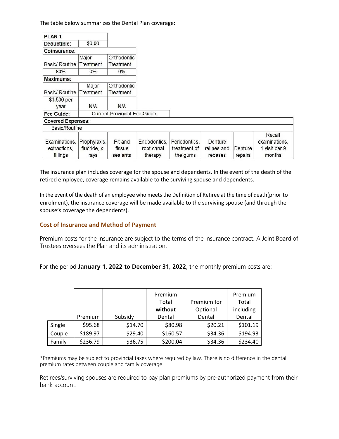The table below summarizes the Dental Plan coverage:

| PLAN <sub>1</sub>                         |                                      |                               |                                       |                                           |                                   |                    |                                                    |
|-------------------------------------------|--------------------------------------|-------------------------------|---------------------------------------|-------------------------------------------|-----------------------------------|--------------------|----------------------------------------------------|
| Deductible:                               | \$0.00                               |                               |                                       |                                           |                                   |                    |                                                    |
| Coinsurance:                              |                                      |                               |                                       |                                           |                                   |                    |                                                    |
|                                           | Major                                | Orthodontic                   |                                       |                                           |                                   |                    |                                                    |
| Basic/ Routine                            | Treatment                            | Treatment                     |                                       |                                           |                                   |                    |                                                    |
| 80%                                       | $0\%$                                | $0\%$                         |                                       |                                           |                                   |                    |                                                    |
| Maximums:                                 |                                      |                               |                                       |                                           |                                   |                    |                                                    |
|                                           | Major                                | Orthodontic                   |                                       |                                           |                                   |                    |                                                    |
| Basic/ Routine                            | Treatment                            | Treatment                     |                                       |                                           |                                   |                    |                                                    |
| \$1,500 per<br>year                       | N/A                                  | N/A                           |                                       |                                           |                                   |                    |                                                    |
| Fee Guide:                                | <b>Current Provincial Fee Guide</b>  |                               |                                       |                                           |                                   |                    |                                                    |
| <b>Covered Expenses:</b>                  |                                      |                               |                                       |                                           |                                   |                    |                                                    |
| Basic/Routine                             |                                      |                               |                                       |                                           |                                   |                    |                                                    |
| Examinations,<br>extractions,<br>fillings | Prophylaxis,<br>fluoride, x-<br>rays | Pit and<br>fissue<br>sealants | Endodontics,<br>root canal<br>therapy | Periodontics,<br>treatment of<br>the gums | Denture<br>relines and<br>rebases | Denture<br>repairs | Recall<br>examinations,<br>1 visit per 9<br>months |

The insurance plan includes coverage for the spouse and dependents. In the event of the death of the retired employee, coverage remains available to the surviving spouse and dependents.

In the event of the death of an employee who meets the Definition of Retiree at the time of death(prior to enrolment), the insurance coverage will be made available to the surviving spouse (and through the spouse's coverage the dependents).

### **Cost of Insurance and Method of Payment**

Premium costs for the insurance are subject to the terms of the insurance contract. A Joint Board of Trustees oversees the Plan and its administration.

For the period **January 1, 2022 to December 31, 2022**, the monthly premium costs are:

|        |          |         | Premium  |             | Premium   |
|--------|----------|---------|----------|-------------|-----------|
|        |          |         | Total    | Premium for | Total     |
|        |          |         | without  | Optional    | including |
|        | Premium  | Subsidy | Dental   | Dental      | Dental    |
| Single | \$95.68  | \$14.70 | \$80.98  | \$20.21     | \$101.19  |
| Couple | \$189.97 | \$29.40 | \$160.57 | \$34.36     | \$194.93  |
| Family | \$236.79 | \$36.75 | \$200.04 | \$34.36     | \$234.40  |

\*Premiums may be subject to provincial taxes where required by law. There is no difference in the dental premium rates between couple and family coverage.

Retirees/surviving spouses are required to pay plan premiums by pre-authorized payment from their bank account.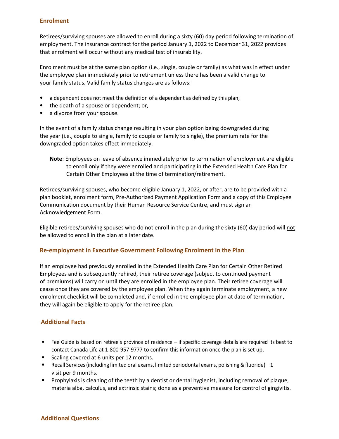#### **Enrolment**

Retirees/surviving spouses are allowed to enroll during a sixty (60) day period following termination of employment. The insurance contract for the period January 1, 2022 to December 31, 2022 provides that enrolment will occur without any medical test of insurability.

Enrolment must be at the same plan option (i.e., single, couple or family) as what was in effect under the employee plan immediately prior to retirement unless there has been a valid change to your family status. Valid family status changes are as follows:

- a dependent does not meet the definition of a dependent as defined by this plan;
- the death of a spouse or dependent; or,
- a divorce from your spouse.

In the event of a family status change resulting in your plan option being downgraded during the year (i.e., couple to single, family to couple or family to single), the premium rate for the downgraded option takes effect immediately.

**Note**: Employees on leave of absence immediately prior to termination of employment are eligible to enroll only if they were enrolled and participating in the Extended Health Care Plan for Certain Other Employees at the time of termination/retirement.

Retirees/surviving spouses, who become eligible January 1, 2022, or after, are to be provided with a plan booklet, enrolment form, Pre-Authorized Payment Application Form and a copy of this Employee Communication document by their Human Resource Service Centre, and must sign an Acknowledgement Form.

Eligible retirees/surviving spouses who do not enroll in the plan during the sixty (60) day period will not be allowed to enroll in the plan at a later date.

### **Re-employment in Executive Government Following Enrolment in the Plan**

If an employee had previously enrolled in the Extended Health Care Plan for Certain Other Retired Employees and is subsequently rehired, their retiree coverage (subject to continued payment of premiums) will carry on until they are enrolled in the employee plan. Their retiree coverage will cease once they are covered by the employee plan. When they again terminate employment, a new enrolment checklist will be completed and, if enrolled in the employee plan at date of termination, they will again be eligible to apply for the retiree plan.

### **Additional Facts**

- Fee Guide is based on retiree's province of residence if specific coverage details are required its best to contact Canada Life at 1-800-957-9777 to confirm this information once the plan is set up.
- Scaling covered at 6 units per 12 months.
- Recall Services (including limited oral exams, limited periodontal exams, polishing & fluoride)  $-1$ visit per 9 months.
- Prophylaxis is cleaning of the teeth by a dentist or dental hygienist, including removal of plaque, materia alba, calculus, and extrinsic stains; done as a preventive measure for control of gingivitis.